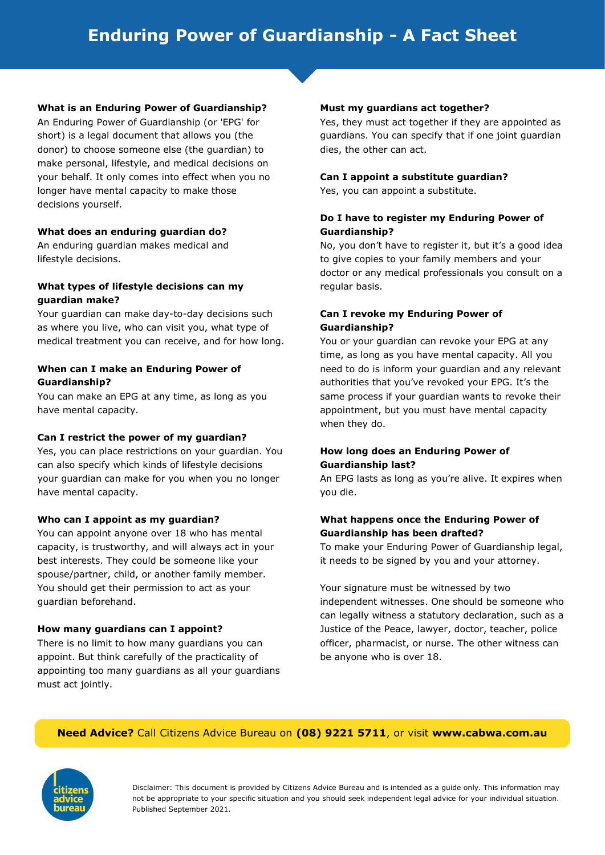## **What is an Enduring Power of Guardianship?**

An Enduring Power of Guardianship (or 'EPG' for short) is a legal document that allows you (the donor) to choose someone else (the guardian) to make personal, lifestyle, and medical decisions on your behalf. It only comes into effect when you no longer have mental capacity to make those decisions yourself.

#### **What does an enduring guardian do?**

An enduring guardian makes medical and lifestyle decisions.

## **What types of lifestyle decisions can my guardian make?**

Your guardian can make day-to-day decisions such as where you live, who can visit you, what type of medical treatment you can receive, and for how long.

# **When can I make an Enduring Power of Guardianship?**

You can make an EPG at any time, as long as you have mental capacity.

#### **Can I restrict the power of my guardian?**

Yes, you can place restrictions on your guardian. You can also specify which kinds of lifestyle decisions your guardian can make for you when you no longer have mental capacity.

#### **Who can I appoint as my guardian?**

You can appoint anyone over 18 who has mental capacity, is trustworthy, and will always act in your best interests. They could be someone like your spouse/partner, child, or another family member. You should get their permission to act as your guardian beforehand.

# **How many guardians can I appoint?**

There is no limit to how many guardians you can appoint. But think carefully of the practicality of appointing too many guardians as all your guardians must act jointly.

#### **Must my guardians act together?**

Yes, they must act together if they are appointed as guardians. You can specify that if one joint guardian dies, the other can act.

#### **Can I appoint a substitute guardian?**

Yes, you can appoint a substitute.

## **Do I have to register my Enduring Power of Guardianship?**

No, you don't have to register it, but it's a good idea to give copies to your family members and your doctor or any medical professionals you consult on a regular basis.

# **Can I revoke my Enduring Power of Guardianship?**

You or your guardian can revoke your EPG at any time, as long as you have mental capacity. All you need to do is inform your guardian and any relevant authorities that you've revoked your EPG. It's the same process if your guardian wants to revoke their appointment, but you must have mental capacity when they do.

# **How long does an Enduring Power of Guardianship last?**

An EPG lasts as long as you're alive. It expires when you die.

# **What happens once the Enduring Power of Guardianship has been drafted?**

To make your Enduring Power of Guardianship legal, it needs to be signed by you and your attorney.

Your signature must be witnessed by two independent witnesses. One should be someone who can legally witness a statutory declaration, such as a Justice of the Peace, lawyer, doctor, teacher, police officer, pharmacist, or nurse. The other witness can be anyone who is over 18.

# **Need Advice?** Call Citizens Advice Bureau on **(08) 9221 5711**, or visit **www.cabwa.com.au**



Disclaimer: This document is provided by Citizens Advice Bureau and is intended as a guide only. This information may not be appropriate to your specific situation and you should seek independent legal advice for your individual situation. Published September 2021.